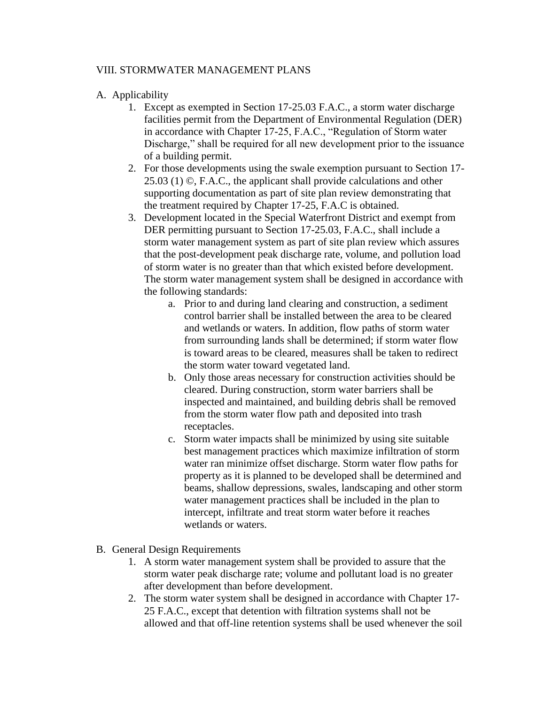## VIII. STORMWATER MANAGEMENT PLANS

## A. Applicability

- 1. Except as exempted in Section 17-25.03 F.A.C., a storm water discharge facilities permit from the Department of Environmental Regulation (DER) in accordance with Chapter 17-25, F.A.C., "Regulation of Storm water Discharge," shall be required for all new development prior to the issuance of a building permit.
- 2. For those developments using the swale exemption pursuant to Section 17- 25.03 (1) ©, F.A.C., the applicant shall provide calculations and other supporting documentation as part of site plan review demonstrating that the treatment required by Chapter 17-25, F.A.C is obtained.
- 3. Development located in the Special Waterfront District and exempt from DER permitting pursuant to Section 17-25.03, F.A.C., shall include a storm water management system as part of site plan review which assures that the post-development peak discharge rate, volume, and pollution load of storm water is no greater than that which existed before development. The storm water management system shall be designed in accordance with the following standards:
	- a. Prior to and during land clearing and construction, a sediment control barrier shall be installed between the area to be cleared and wetlands or waters. In addition, flow paths of storm water from surrounding lands shall be determined; if storm water flow is toward areas to be cleared, measures shall be taken to redirect the storm water toward vegetated land.
	- b. Only those areas necessary for construction activities should be cleared. During construction, storm water barriers shall be inspected and maintained, and building debris shall be removed from the storm water flow path and deposited into trash receptacles.
	- c. Storm water impacts shall be minimized by using site suitable best management practices which maximize infiltration of storm water ran minimize offset discharge. Storm water flow paths for property as it is planned to be developed shall be determined and beams, shallow depressions, swales, landscaping and other storm water management practices shall be included in the plan to intercept, infiltrate and treat storm water before it reaches wetlands or waters.
- B. General Design Requirements
	- 1. A storm water management system shall be provided to assure that the storm water peak discharge rate; volume and pollutant load is no greater after development than before development.
	- 2. The storm water system shall be designed in accordance with Chapter 17- 25 F.A.C., except that detention with filtration systems shall not be allowed and that off-line retention systems shall be used whenever the soil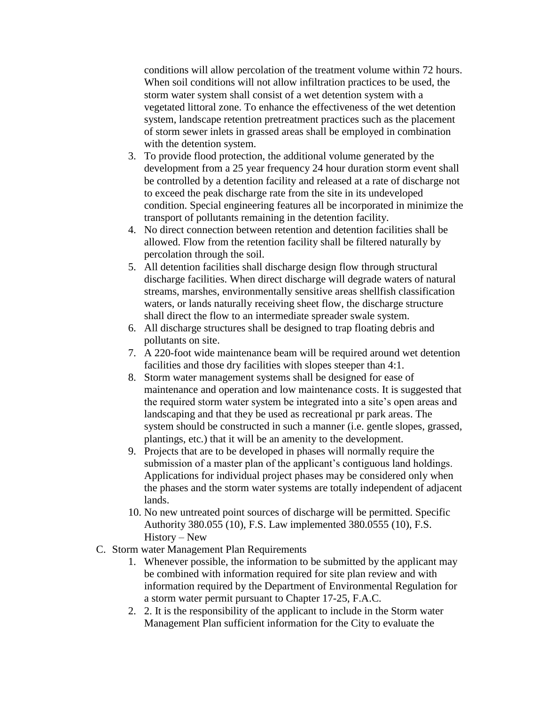conditions will allow percolation of the treatment volume within 72 hours. When soil conditions will not allow infiltration practices to be used, the storm water system shall consist of a wet detention system with a vegetated littoral zone. To enhance the effectiveness of the wet detention system, landscape retention pretreatment practices such as the placement of storm sewer inlets in grassed areas shall be employed in combination with the detention system.

- 3. To provide flood protection, the additional volume generated by the development from a 25 year frequency 24 hour duration storm event shall be controlled by a detention facility and released at a rate of discharge not to exceed the peak discharge rate from the site in its undeveloped condition. Special engineering features all be incorporated in minimize the transport of pollutants remaining in the detention facility.
- 4. No direct connection between retention and detention facilities shall be allowed. Flow from the retention facility shall be filtered naturally by percolation through the soil.
- 5. All detention facilities shall discharge design flow through structural discharge facilities. When direct discharge will degrade waters of natural streams, marshes, environmentally sensitive areas shellfish classification waters, or lands naturally receiving sheet flow, the discharge structure shall direct the flow to an intermediate spreader swale system.
- 6. All discharge structures shall be designed to trap floating debris and pollutants on site.
- 7. A 220-foot wide maintenance beam will be required around wet detention facilities and those dry facilities with slopes steeper than 4:1.
- 8. Storm water management systems shall be designed for ease of maintenance and operation and low maintenance costs. It is suggested that the required storm water system be integrated into a site's open areas and landscaping and that they be used as recreational pr park areas. The system should be constructed in such a manner (i.e. gentle slopes, grassed, plantings, etc.) that it will be an amenity to the development.
- 9. Projects that are to be developed in phases will normally require the submission of a master plan of the applicant's contiguous land holdings. Applications for individual project phases may be considered only when the phases and the storm water systems are totally independent of adjacent lands.
- 10. No new untreated point sources of discharge will be permitted. Specific Authority 380.055 (10), F.S. Law implemented 380.0555 (10), F.S. History – New
- C. Storm water Management Plan Requirements
	- 1. Whenever possible, the information to be submitted by the applicant may be combined with information required for site plan review and with information required by the Department of Environmental Regulation for a storm water permit pursuant to Chapter 17-25, F.A.C.
	- 2. 2. It is the responsibility of the applicant to include in the Storm water Management Plan sufficient information for the City to evaluate the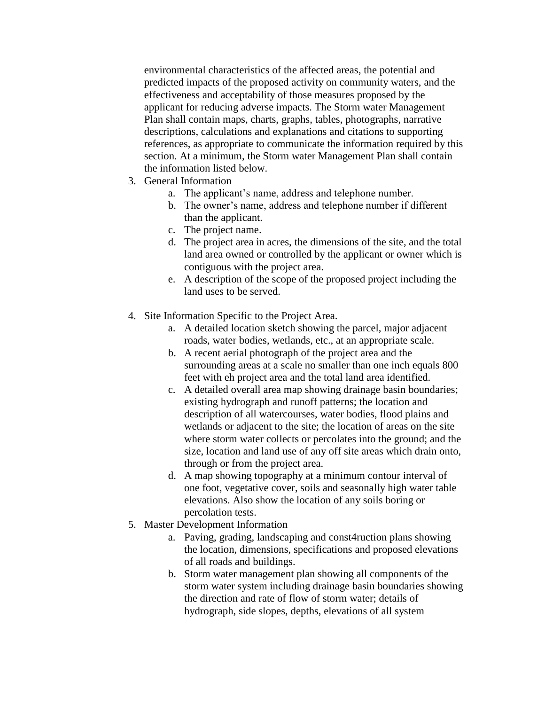environmental characteristics of the affected areas, the potential and predicted impacts of the proposed activity on community waters, and the effectiveness and acceptability of those measures proposed by the applicant for reducing adverse impacts. The Storm water Management Plan shall contain maps, charts, graphs, tables, photographs, narrative descriptions, calculations and explanations and citations to supporting references, as appropriate to communicate the information required by this section. At a minimum, the Storm water Management Plan shall contain the information listed below.

- 3. General Information
	- a. The applicant's name, address and telephone number.
	- b. The owner's name, address and telephone number if different than the applicant.
	- c. The project name.
	- d. The project area in acres, the dimensions of the site, and the total land area owned or controlled by the applicant or owner which is contiguous with the project area.
	- e. A description of the scope of the proposed project including the land uses to be served.
- 4. Site Information Specific to the Project Area.
	- a. A detailed location sketch showing the parcel, major adjacent roads, water bodies, wetlands, etc., at an appropriate scale.
	- b. A recent aerial photograph of the project area and the surrounding areas at a scale no smaller than one inch equals 800 feet with eh project area and the total land area identified.
	- c. A detailed overall area map showing drainage basin boundaries; existing hydrograph and runoff patterns; the location and description of all watercourses, water bodies, flood plains and wetlands or adjacent to the site; the location of areas on the site where storm water collects or percolates into the ground; and the size, location and land use of any off site areas which drain onto, through or from the project area.
	- d. A map showing topography at a minimum contour interval of one foot, vegetative cover, soils and seasonally high water table elevations. Also show the location of any soils boring or percolation tests.
- 5. Master Development Information
	- a. Paving, grading, landscaping and const4ruction plans showing the location, dimensions, specifications and proposed elevations of all roads and buildings.
	- b. Storm water management plan showing all components of the storm water system including drainage basin boundaries showing the direction and rate of flow of storm water; details of hydrograph, side slopes, depths, elevations of all system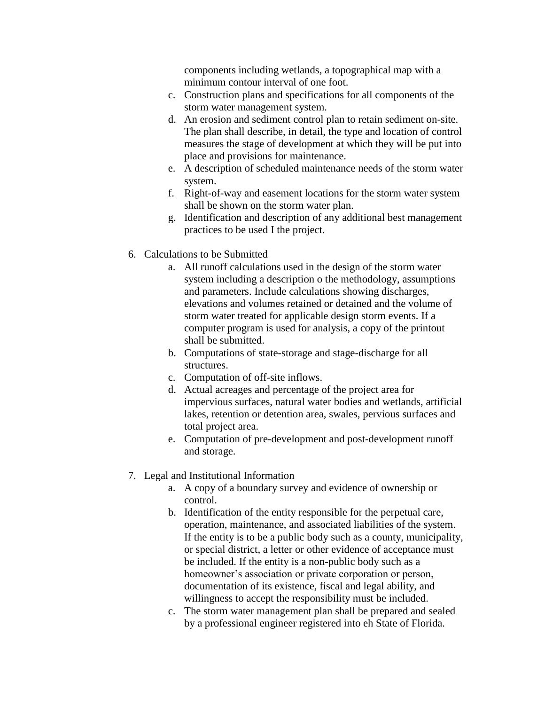components including wetlands, a topographical map with a minimum contour interval of one foot.

- c. Construction plans and specifications for all components of the storm water management system.
- d. An erosion and sediment control plan to retain sediment on-site. The plan shall describe, in detail, the type and location of control measures the stage of development at which they will be put into place and provisions for maintenance.
- e. A description of scheduled maintenance needs of the storm water system.
- f. Right-of-way and easement locations for the storm water system shall be shown on the storm water plan.
- g. Identification and description of any additional best management practices to be used I the project.
- 6. Calculations to be Submitted
	- a. All runoff calculations used in the design of the storm water system including a description o the methodology, assumptions and parameters. Include calculations showing discharges, elevations and volumes retained or detained and the volume of storm water treated for applicable design storm events. If a computer program is used for analysis, a copy of the printout shall be submitted.
	- b. Computations of state-storage and stage-discharge for all structures.
	- c. Computation of off-site inflows.
	- d. Actual acreages and percentage of the project area for impervious surfaces, natural water bodies and wetlands, artificial lakes, retention or detention area, swales, pervious surfaces and total project area.
	- e. Computation of pre-development and post-development runoff and storage.
- 7. Legal and Institutional Information
	- a. A copy of a boundary survey and evidence of ownership or control.
	- b. Identification of the entity responsible for the perpetual care, operation, maintenance, and associated liabilities of the system. If the entity is to be a public body such as a county, municipality, or special district, a letter or other evidence of acceptance must be included. If the entity is a non-public body such as a homeowner's association or private corporation or person, documentation of its existence, fiscal and legal ability, and willingness to accept the responsibility must be included.
	- c. The storm water management plan shall be prepared and sealed by a professional engineer registered into eh State of Florida.